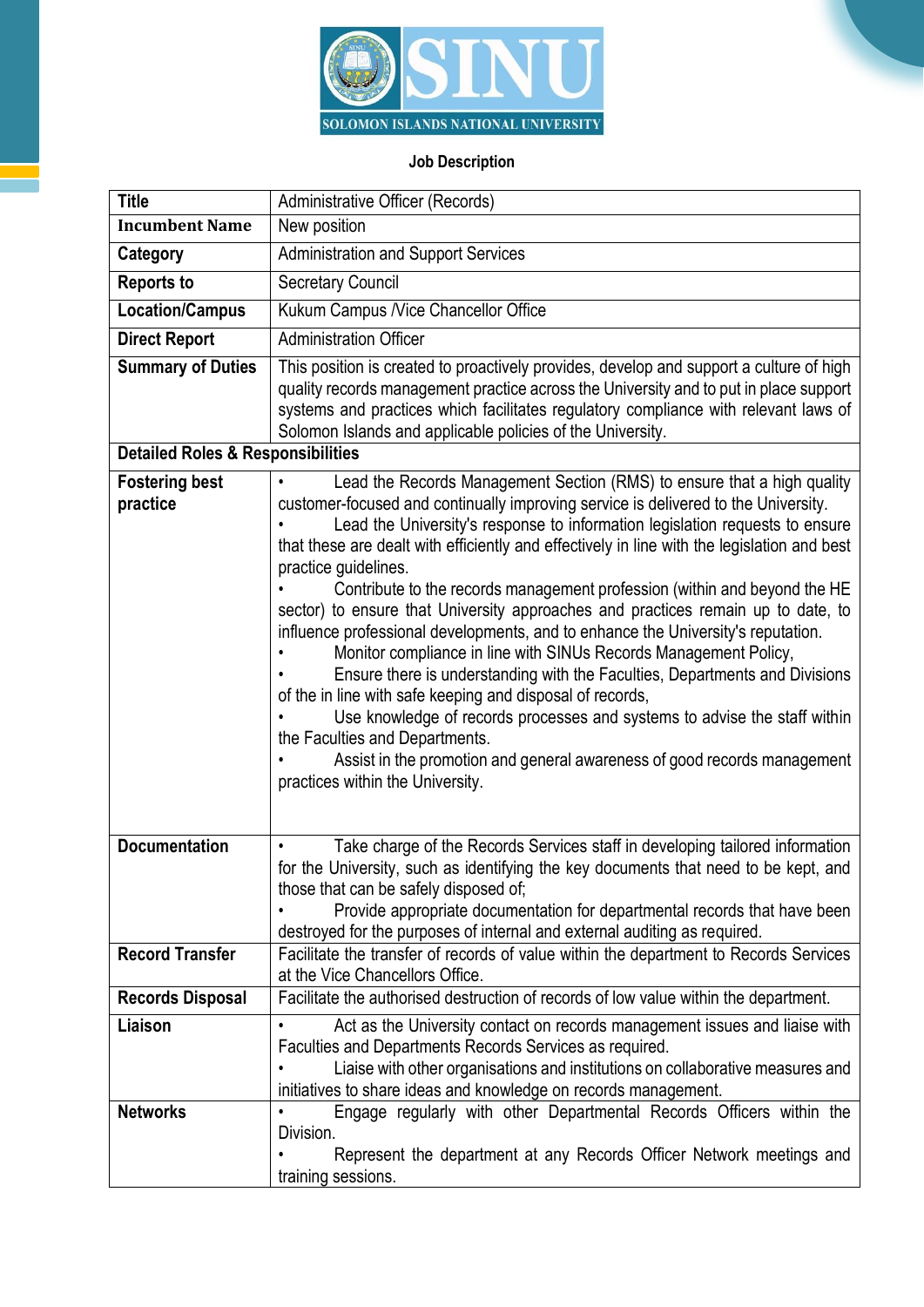

## **Job Description**

| <b>Title</b>                                 | Administrative Officer (Records)                                                                                                                                                                                                                                                                                                                                                                                                                                                                                                                                                                                                                                                                                                                                                                                                                                                                                                                                                                                                                                         |
|----------------------------------------------|--------------------------------------------------------------------------------------------------------------------------------------------------------------------------------------------------------------------------------------------------------------------------------------------------------------------------------------------------------------------------------------------------------------------------------------------------------------------------------------------------------------------------------------------------------------------------------------------------------------------------------------------------------------------------------------------------------------------------------------------------------------------------------------------------------------------------------------------------------------------------------------------------------------------------------------------------------------------------------------------------------------------------------------------------------------------------|
| <b>Incumbent Name</b>                        | New position                                                                                                                                                                                                                                                                                                                                                                                                                                                                                                                                                                                                                                                                                                                                                                                                                                                                                                                                                                                                                                                             |
| Category                                     | <b>Administration and Support Services</b>                                                                                                                                                                                                                                                                                                                                                                                                                                                                                                                                                                                                                                                                                                                                                                                                                                                                                                                                                                                                                               |
| <b>Reports to</b>                            | <b>Secretary Council</b>                                                                                                                                                                                                                                                                                                                                                                                                                                                                                                                                                                                                                                                                                                                                                                                                                                                                                                                                                                                                                                                 |
| <b>Location/Campus</b>                       | Kukum Campus / Vice Chancellor Office                                                                                                                                                                                                                                                                                                                                                                                                                                                                                                                                                                                                                                                                                                                                                                                                                                                                                                                                                                                                                                    |
| <b>Direct Report</b>                         | <b>Administration Officer</b>                                                                                                                                                                                                                                                                                                                                                                                                                                                                                                                                                                                                                                                                                                                                                                                                                                                                                                                                                                                                                                            |
| <b>Summary of Duties</b>                     | This position is created to proactively provides, develop and support a culture of high<br>quality records management practice across the University and to put in place support<br>systems and practices which facilitates regulatory compliance with relevant laws of<br>Solomon Islands and applicable policies of the University.                                                                                                                                                                                                                                                                                                                                                                                                                                                                                                                                                                                                                                                                                                                                    |
| <b>Detailed Roles &amp; Responsibilities</b> |                                                                                                                                                                                                                                                                                                                                                                                                                                                                                                                                                                                                                                                                                                                                                                                                                                                                                                                                                                                                                                                                          |
| <b>Fostering best</b><br>practice            | Lead the Records Management Section (RMS) to ensure that a high quality<br>customer-focused and continually improving service is delivered to the University.<br>Lead the University's response to information legislation requests to ensure<br>that these are dealt with efficiently and effectively in line with the legislation and best<br>practice quidelines.<br>Contribute to the records management profession (within and beyond the HE<br>sector) to ensure that University approaches and practices remain up to date, to<br>influence professional developments, and to enhance the University's reputation.<br>Monitor compliance in line with SINUs Records Management Policy,<br>Ensure there is understanding with the Faculties, Departments and Divisions<br>of the in line with safe keeping and disposal of records,<br>Use knowledge of records processes and systems to advise the staff within<br>the Faculties and Departments.<br>Assist in the promotion and general awareness of good records management<br>practices within the University. |
| <b>Documentation</b>                         | Take charge of the Records Services staff in developing tailored information<br>$\bullet$<br>for the University, such as identifying the key documents that need to be kept, and<br>those that can be safely disposed of;<br>Provide appropriate documentation for departmental records that have been<br>destroyed for the purposes of internal and external auditing as required.                                                                                                                                                                                                                                                                                                                                                                                                                                                                                                                                                                                                                                                                                      |
| <b>Record Transfer</b>                       | Facilitate the transfer of records of value within the department to Records Services<br>at the Vice Chancellors Office.                                                                                                                                                                                                                                                                                                                                                                                                                                                                                                                                                                                                                                                                                                                                                                                                                                                                                                                                                 |
| <b>Records Disposal</b>                      | Facilitate the authorised destruction of records of low value within the department.                                                                                                                                                                                                                                                                                                                                                                                                                                                                                                                                                                                                                                                                                                                                                                                                                                                                                                                                                                                     |
| Liaison                                      | Act as the University contact on records management issues and liaise with<br>Faculties and Departments Records Services as required.<br>Liaise with other organisations and institutions on collaborative measures and<br>initiatives to share ideas and knowledge on records management.                                                                                                                                                                                                                                                                                                                                                                                                                                                                                                                                                                                                                                                                                                                                                                               |
| <b>Networks</b>                              | Engage regularly with other Departmental Records Officers within the<br>Division.<br>Represent the department at any Records Officer Network meetings and<br>training sessions.                                                                                                                                                                                                                                                                                                                                                                                                                                                                                                                                                                                                                                                                                                                                                                                                                                                                                          |